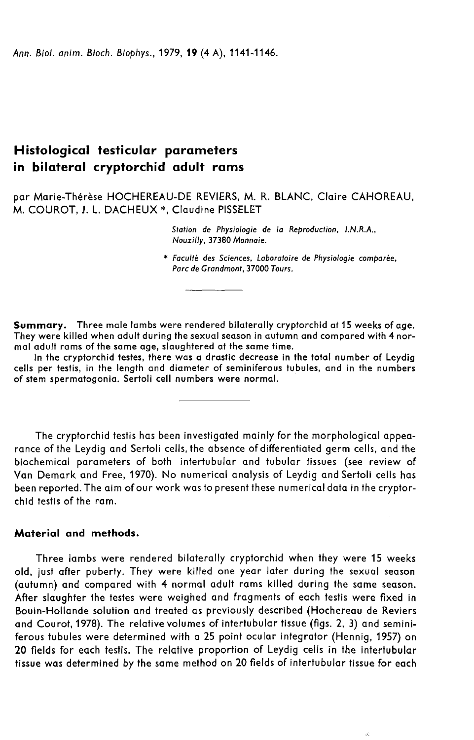# Histological testicular parameters in bilateral cryptorchid adult rams

par Marie-Thérèse HOCHEREAU-DE REVIERS, M. R. BLANC, Claire CAHOREAU, M. COUROT. J. L. DACHEUX \*. Claudine PISSELET

> Station de Physiologie de la Reproduction, LN.R.A., Nouzilly, 37380 Monnaie.

\* Faculté des Sciences, Laboratoire de Physiologie comparée, Parc de Grandmont, 37000 Tours.

Summary. Three male lambs were rendered bilaterally cryptorchid at 15 weeks of age. They were killed when adult during the sexual season in autumn and compared with 4 normal adult rams of the same age, slaughtered at the same time.

In the cryptorchid testes, there was a drastic decrease in the total number of Leydig cells per testis, in the length and diameter of seminiferous tubules, and in the numbers of stem spermatogonia. Sertoli cell numbers were normal.

The cryptorchid testis has been investigated mainly for the morphological appearance of the Leydig and Sertoli cells, the absence of differentiated germ cells, and the biochemical parameters of both intertubular and tubular tissues (see review of Van Demark and Free, 1970). No numerical analysis of Leydig and Sertoli cells has been reported. The aim of our work was to present these numerical data in the cryptorchid testis of the ram.

### Material and methods.

Three lambs were rendered bilaterally cryptorchid when they were 15 weeks old, just after puberty. They were killed one year later during the sexual season (autumn) and compared with 4 normal adult rams killed during the same season. After slaughter the testes were weighed and fragments of each testis were fixed in Bouin-Hollande solution and treated as previously described (Hochereau de Reviers and Courot, 1978). The relative volumes of intertubular tissue (figs. 2, 3) and seminiferous tubules were determined with a 25 point ocular integrator (Hennig, 1957) on 20 fields for each testis. The relative proportion of Leydig cells in the intertubular tissue was determined by the same method on 20 fields of intertubular tissue for each

Š.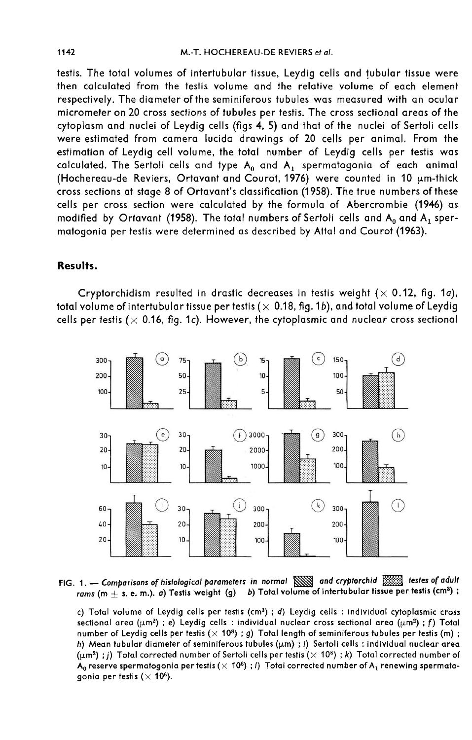#### M.-T. HOCHEREAU-DE REVIERS et al.

testis. The total volumes of intertubular tissue, Leydig cells and tubular tissue were then calculated from the testis volume and the relative volume of each element respectively. The diameter of the seminiferous tubules was measured with an ocular micrometer on 20 cross sections of tubules per testis. The cross sectional areas of the cytoplasm and nuclei of Leydig cells (figs 4, 5) and that of the nuclei of Sertoli cells were estimated from camera lucida drawings of 20 cells per animal. From the estimation of Leydig cell volume, the total number of Leydig cells per testis was calculated. The Sertoli cells and type  $A_0$  and  $A_1$  spermatogonia of each animal (Hochereau-de Reviers, Ortavant and Courot, 1976) were counted in 10 ym-thick cross sections at stage 8 of Ortavant's classification (1958). The true numbers of these cells per cross section were calculated by the formula of Abercrombie (1946) as modified by Ortavant (1958). The total numbers of Sertoli cells and  $A_0$  and  $A_1$  spermatogonia per testis were determined as described by Attal and Courot (1963).

## Results.

Cryptorchidism resulted in drastic decreases in testis weight  $(x 0.12, fig. 1a)$ , total volume of intertubular tissue per testis ( $\times$  0.18, fig. 1b), and total volume of Leydig cells per testis ( $\times$  0.16, fig. 1c). However, the cytoplasmic and nuclear cross sectional



FIG. 1. - Comparisons of histological parameters in normal NSS and cryptorchid Enters of adult rams  $(m \pm s. e. m.)$ . a) Testis weight (g) b) Total volume of intertubular tissue per testis (cm<sup>3</sup>);

c) Total volume of Leydig cells per testis (cm<sup>3</sup>) ; d) Leydig cells : individual cytoplasmic cross sectional area ( $\mu$ m<sup>2</sup>) ; e) Leydig cells : individual nuclear cross sectional area ( $\mu$ m<sup>2</sup>) ; f) Total number of Leydig cells per testis  $(\times 10^8)$ ; g) Total length of seminiferous tubules per testis (m); h) Mean tubular diameter of seminiferous tubules  $(\mu m)$  ; i) Sertoli cells : individual nuclear area  $(\mu m^2)$ ; j) Total corrected number of Sertoli cells per testis ( $\times$  10<sup>8</sup>); k) Total corrected number of  $\hat{A}_0$  reserve spermatogonia per testis ( $\times$  10<sup>6</sup>) ; *l*) Total corrected number of  $A_1$  renewing spermatogonia per testis ( $\times$  10<sup>6</sup>).

1142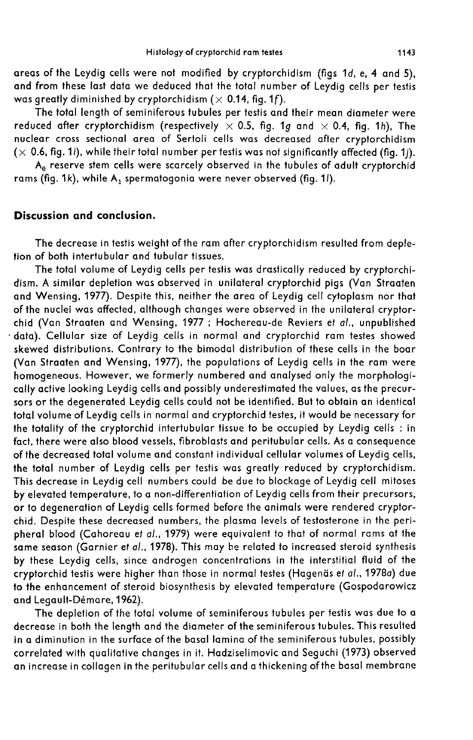areas of the Leydig cells were not modified by cryptorchidism (figs 1d, e, 4 and 5), and from these last data we deduced that the total number of Leydig cells per testis was greatly diminished by cryptorchidism ( $\times$  0.14, fig. 1f).

The total length of seminiferous tubules per testis and their mean diameter were reduced after cryptorchidism (respectively  $\times$  0.5, fig. 1g and  $\times$  0.4, fig. 1h), The nuclear cross sectional area of Sertoli cells was decreased after cryptorchidism ( $\times$  0.6, fig. 1*i*), while their total number per testis was not significantly affected (fig. 1*j*).

 $A_0$  reserve stem cells were scarcely observed in the tubules of adult cryptorchid rams (fig. 1k), while  $A_1$  spermatogonia were never observed (fig. 11).

## Discussion and conclusion.

The decrease in testis weight of the ram after cryptorchidism resulted from depletion of both intertubular and tubular tissues.

The total volume of Leydig cells per testis was drastically reduced by cryptorchidism. A similar depletion was observed in unilateral cryptorchid pigs (Van Straaten and Wensing, 1977). Despite this, neither the area of Leydig cell cytoplasm nor that of the nuclei was affected, although changes were observed in the unilateral cryptorchid (Van Straaten and Wensing, 1977 ; Hochereau-de Reviers et al., unpublished data). Cellular size of Leydig cells in normal and cryptorchid ram testes showed skewed distributions. Contrary to the bimodal distribution of these cells in the boar (Van Straaten and Wensing, 1977), the populations of Leydig cells in the ram were homogeneous. However, we formerly numbered and analysed only the morphologically active looking Leydig cells and possibly underestimated the values, as the precursors or the degenerated Leydig cells could not be identified. But to obtain an identical total volume of Leydig cells in normal and cryptorchid testes, it would be necessary for the totality of the cryptorchid intertubular tissue to be occupied by Leydig cells : in fact, there were also blood vessels, fibroblasts and peritubular cells. As a consequence of the decreased total volume and constant individual cellular volumes of Leydig cells, the total number of Leydig cells per testis was greatly reduced by cryptorchidism. This decrease in Leydig cell numbers could be due to blockage of Leydig cell mitoses by elevated temperature, to a non-differentiation of Leydig cells from their precursors, or to degeneration of Leydig cells formed before the animals were rendered cryptorchid. Despite these decreased numbers, the plasma levels of testosterone in the peripheral blood (Cahoreau et al., 1979) were equivalent to that of normal rams at the same season (Garnier et al., 1978). This may be related to increased steroid synthesis by these Leydig cells, since androgen concentrations in the interstitial fluid of the cryptorchid testis were higher than those in normal testes (Hagends et al., 1978a) due to the enhancement of steroid biosynthesis by elevated temperature (Gospodarowicz and Legault-Démare, 1962).

The depletion of the total volume of seminiferous tubules per testis was due to a decrease in both the length and the diameter of the seminiferous tubules. This resulted in a diminution in the surface of the basal lamina of the seminiferous tubules, possibly correlated with qualitative changes in it. Hadziselimovic and Seguchi (1973) observed an increase in collagen in the peritubular cells and a thickening of the basal membrane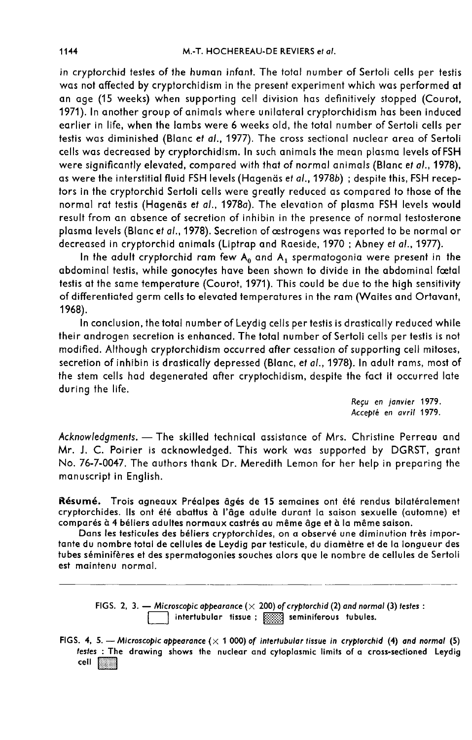in cryptorchid testes of the human infant. The total number of Sertoli cells per testis was not affected by cryptorchidism in the present experiment which was performed at an age (15 weeks) when supporting cell division has definitively stopped (Courot, 1971). In another group of animals where unilateral cryptorchidism has been induced earlier in life, when the lambs were 6 weeks old, the total number of Sertoli cells per testis was diminished (Blanc et al., 1977). The cross sectional nuclear area of Sertoli cells was decreased by cryptorchidism. In such animals the mean plasma levels of FSH were significantly elevated, compared with that of normal animals (Blanc et al., 1978), as were the interstitial fluid FSH levels (Hagenäs et al., 1978b) ; despite this, FSH receptors in the cryptorchid Sertoli cells were greatly reduced as compared to those of the normal rat testis (Hagends et al., 1978a). The elevation of plasma FSH levels would result from an absence of secretion of inhibin in the presence of normal testosterone plasma levels (Blanc et al., 1978). Secretion of œstrogens was reported to be normal or decreased in cryptorchid animals (Liptrap and Raeside, 1970 ; Abney et al., 1977).

In the adult cryptorchid ram few  $A_0$  and  $A_1$  spermatogonia were present in the abdominal testis, while gonocytes have been shown to divide in the abdominal foetal testis at the same temperature (Courot, 1971). This could be due to the high sensitivity of differentiated germ cells to elevated temperatures in the ram (Waites and Ortavant, 1968).

In conclusion, the total number of Leydig cells per testis is drastically reduced while their androgen secretion is enhanced. The total number of Sertoli cells per testis is not modified. Although cryptorchidism occurred after cessation of supporting cell mitoses, secretion of inhibin is drastically depressed (Blanc, et al., 1978). In adult rams, most of the stem cells had degenerated after cryptochidism, despite the fact it occurred late during the life.

> Reçu en janvier 1979. Accepté en avril 1979.

Acknowledgments. - The skilled technical assistance of Mrs. Christine Perreau and Mr. J. C. Poirier is acknowledged. This work was supported by DGRST, grant No. 76-7-0047. The authors thank Dr. Meredith Lemon for her help in preparing the manuscript in English.

Résumé. Trois agneaux Préalpes âgés de 15 semaines ont été rendus bilatéralement cryptorchides. Ils ont été abattus à l'âge adulte durant la saison sexuelle (automne) et comparés à 4 béliers adultes normaux castrés au même âge et à la même saison.

tante du nombre total de cellules de Leydig par testicule, du diamètre et de la longueur des tubes séminifères et des spermatogonies souches alors que le nombre de cellules de Sertoli est maintenu normal.

FIGS. 2, 3. — Microscopic appearance  $(\times 200)$  of cryptorchid (2) and normal (3) testes :<br>intertubular tissue ;  $\sum_{n=1}^{\infty}$  seminiferous tubules.

FIGS. 4, 5. - Microscopic appearance ( $\times$  1 000) of intertubular tissue in cryptorchid (4) and normal (5) testes : The drawing shows the nuclear and cytoplasmic limits of a cross-sectioned Leydig cell **in the Second**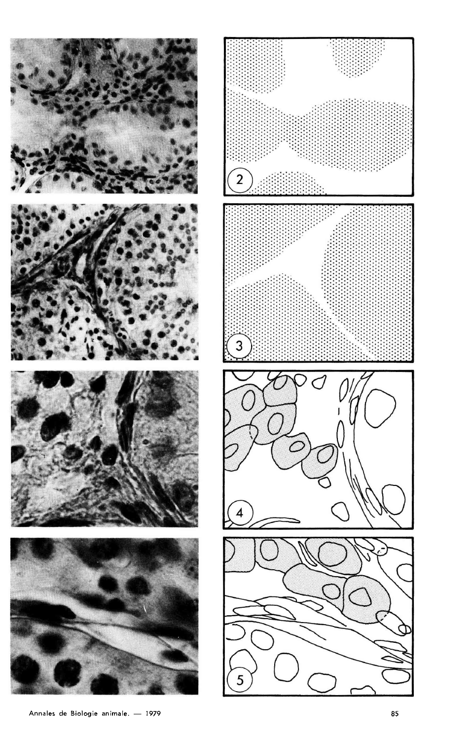